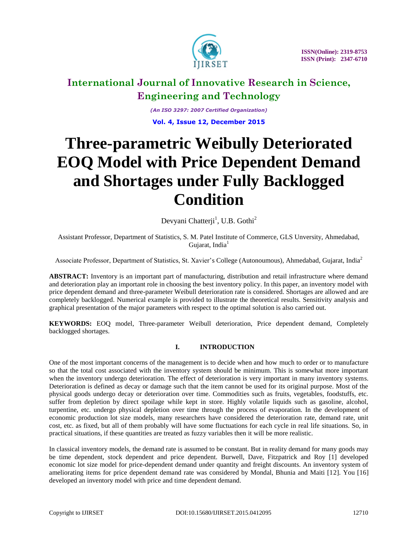

*(An ISO 3297: 2007 Certified Organization)*

**Vol. 4, Issue 12, December 2015**

# **Three-parametric Weibully Deteriorated EOQ Model with Price Dependent Demand and Shortages under Fully Backlogged Condition**

Devyani Chatterji<sup>1</sup>, U.B. Gothi<sup>2</sup>

Assistant Professor, Department of Statistics, S. M. Patel Institute of Commerce, GLS Unversity, Ahmedabad, Gujarat, India $1$ 

Associate Professor, Department of Statistics, St. Xavier's College (Autonoumous), Ahmedabad, Gujarat, India<sup>2</sup>

**ABSTRACT:** Inventory is an important part of manufacturing, distribution and retail infrastructure where demand and deterioration play an important role in choosing the best inventory policy. In this paper, an inventory model with price dependent demand and three-parameter Weibull deterioration rate is considered. Shortages are allowed and are completely backlogged. Numerical example is provided to illustrate the theoretical results. Sensitivity analysis and graphical presentation of the major parameters with respect to the optimal solution is also carried out.

**KEYWORDS:** EOQ model, Three-parameter Weibull deterioration, Price dependent demand, Completely backlogged shortages.

### **I. INTRODUCTION**

One of the most important concerns of the management is to decide when and how much to order or to manufacture so that the total cost associated with the inventory system should be minimum. This is somewhat more important when the inventory undergo deterioration. The effect of deterioration is very important in many inventory systems. Deterioration is defined as decay or damage such that the item cannot be used for its original purpose. Most of the physical goods undergo decay or deterioration over time. Commodities such as fruits, vegetables, foodstuffs, etc. suffer from depletion by direct spoilage while kept in store. Highly volatile liquids such as gasoline, alcohol, turpentine, etc. undergo physical depletion over time through the process of evaporation. In the development of economic production lot size models, many researchers have considered the deterioration rate, demand rate, unit cost, etc. as fixed, but all of them probably will have some fluctuations for each cycle in real life situations. So, in practical situations, if these quantities are treated as fuzzy variables then it will be more realistic.

In classical inventory models, the demand rate is assumed to be constant. But in reality demand for many goods may be time dependent, stock dependent and price dependent. Burwell, Dave, Fitzpatrick and Roy [1] developed economic lot size model for price-dependent demand under quantity and freight discounts. An inventory system of ameliorating items for price dependent demand rate was considered by Mondal, Bhunia and Maiti [12]. You [16] developed an inventory model with price and time dependent demand.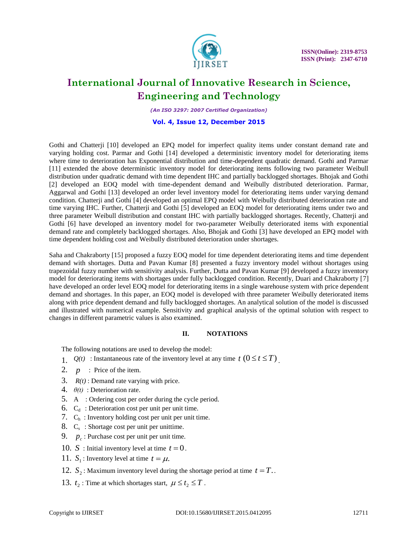

*(An ISO 3297: 2007 Certified Organization)*

#### **Vol. 4, Issue 12, December 2015**

Gothi and Chatterji [10] developed an EPQ model for imperfect quality items under constant demand rate and varying holding cost. Parmar and Gothi [14] developed a deterministic inventory model for deteriorating items where time to deterioration has Exponential distribution and time-dependent quadratic demand. Gothi and Parmar [11] extended the above deterministic inventory model for deteriorating items following two parameter Weibull distribution under quadratic demand with time dependent IHC and partially backlogged shortages. Bhojak and Gothi [2] developed an EOQ model with time-dependent demand and Weibully distributed deterioration. Parmar, Aggarwal and Gothi [13] developed an order level inventory model for deteriorating items under varying demand condition. Chatterji and Gothi [4] developed an optimal EPQ model with Weibully distributed deterioration rate and time varying IHC. Further, Chatterji and Gothi [5] developed an EOQ model for deteriorating items under two and three parameter Weibull distribution and constant IHC with partially backlogged shortages. Recently, Chatterji and Gothi [6] have developed an inventory model for two-parameter Weibully deteriorated items with exponential demand rate and completely backlogged shortages. Also, Bhojak and Gothi [3] have developed an EPQ model with time dependent holding cost and Weibully distributed deterioration under shortages.

Saha and Chakraborty [15] proposed a fuzzy EOQ model for time dependent deteriorating items and time dependent demand with shortages. Dutta and Pavan Kumar [8] presented a fuzzy inventory model without shortages using trapezoidal fuzzy number with sensitivity analysis. Further, Dutta and Pavan Kumar [9] developed a fuzzy inventory model for deteriorating items with shortages under fully backlogged condition. Recently, Duari and Chakraborty [7] have developed an order level EOQ model for deteriorating items in a single warehouse system with price dependent demand and shortages. In this paper, an EOQ model is developed with three parameter Weibully deteriorated items along with price dependent demand and fully backlogged shortages. An analytical solution of the model is discussed and illustrated with numerical example. Sensitivity and graphical analysis of the optimal solution with respect to changes in different parametric values is also examined.

#### **II. NOTATIONS**

The following notations are used to develop the model:

- 1.  $Q(t)$  : Instantaneous rate of the inventory level at any time  $t$   $(0 \le t \le T)$ .
- 2.  $p$  : Price of the item.
- 3.  $R(t)$ : Demand rate varying with price.
- 4. *θ(t)* : Deterioration rate.
- 5. A : Ordering cost per order during the cycle period.
- 6.  $C_d$ : Deterioration cost per unit per unit time.
- 7.  $C_h$ : Inventory holding cost per unit per unit time.
- 8.  $C_s$ : Shortage cost per unit per unittime.
- 9.  $p_c$ : Purchase cost per unit per unit time.
- 10. *S* : Initial inventory level at time  $t = 0$ .
- 11.  $S_1$ : Inventory level at time  $t = \mu$ .
- 12.  $S_2$ : Maximum inventory level during the shortage period at time  $t = T$ .
- 13.  $t_2$ : Time at which shortages start,  $\mu \le t_2 \le T$ .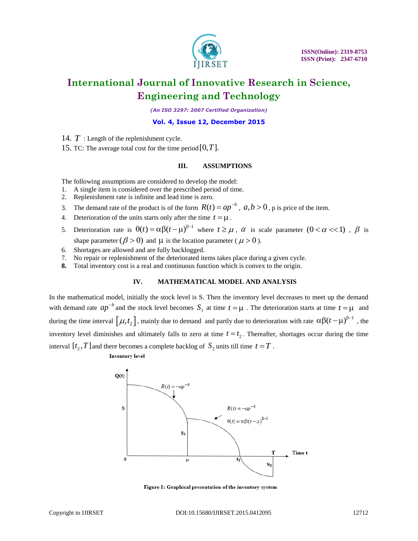

*(An ISO 3297: 2007 Certified Organization)*

#### **Vol. 4, Issue 12, December 2015**

- 14. *T* : Length of the replenishment cycle.
- 15. TC: The average total cost for the time period  $[0, T]$ .

### **III. ASSUMPTIONS**

The following assumptions are considered to develop the model:

- 1. A single item is considered over the prescribed period of time.
- 2. Replenishment rate is infinite and lead time is zero.
- 3. The demand rate of the product is of the form  $R(t) = ap^{-b}$ ,  $a, b > 0$ , p is price of the item.
- 4. Deterioration of the units starts only after the time  $t = \mu$ .
- 5. Deterioration rate is  $\theta(t) = \alpha \beta (t \mu)^{\beta-1}$  where  $t \ge \mu$ ,  $\alpha$  is scale parameter  $(0 < \alpha < 1)$ ,  $\beta$  is shape parameter ( $\beta > 0$ ) and  $\mu$  is the location parameter ( $\mu > 0$ ).
- 6. Shortages are allowed and are fully backlogged.
- 7. No repair or replenishment of the deteriorated items takes place during a given cycle.
- **8.** Total inventory cost is a real and continuous function which is convex to the origin.

### **IV. MATHEMATICAL MODEL AND ANALYSIS**

In the mathematical model, initially the stock level is S. Then the inventory level decreases to meet up the demand with demand rate  $ap^{-b}$  and the stock level becomes  $S_1$  at time  $t = \mu$ . The deterioration starts at time  $t = \mu$  and during the time interval  $[\mu, t_2]$ , mainly due to demand and partly due to deterioration with rate  $\alpha \beta (t-\mu)^{\beta-1}$ , the inventory level diminishes and ultimately falls to zero at time  $t = t_2$ . Thereafter, shortages occur during the time interval  $[t_2, T]$  and there becomes a complete backlog of  $S_2$  units till time  $t = T$ .

**Inventory** level



Figure 1: Graphical presentation of the inventory system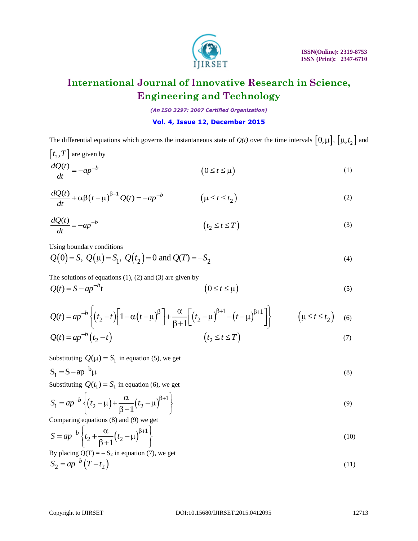

*(An ISO 3297: 2007 Certified Organization)*

### **Vol. 4, Issue 12, December 2015**

The differential equations which governs the instantaneous state of  $Q(t)$  over the time intervals  $[0,\mu]$ ,  $[\mu, t_2]$  and

$$
\begin{aligned}\n\left[t_{2}, T\right] \text{ are given by} \\
\frac{dQ(t)}{dt} &= -ap^{-b} \\
\end{aligned} \tag{1}
$$

$$
\frac{dQ(t)}{dt} = -ap
$$
 (0 \le t \le \mu) (1)  

$$
\frac{dQ(t)}{dt} + \alpha\beta(t - \mu)^{\beta - 1}Q(t) = -ap^{-b}
$$
 (1)  

$$
\frac{dQ(t)}{dt} = -ap^{-b}
$$
 (t<sub>2</sub> \le t \le T) (3)

$$
\frac{dQ(t)}{dt} = -ap^{-b} \qquad (t_2 \le t \le T)
$$
\n(3)

Using boundary conditions

Using boundary conditions  
\n
$$
Q(0) = S
$$
,  $Q(\mu) = S_1$ ,  $Q(t_2) = 0$  and  $Q(T) = -S_2$  (4)

The solutions of equations  $(1)$ ,  $(2)$  and  $(3)$  are given by

The solutions of equations (1), (2) and (3) are given by  
\n
$$
Q(t) = S - ap^{-b}t
$$
\n(5)

The solutions of equations (1), (2) and (3) are given by  
\n
$$
Q(t) = S - ap^{-b} \left\{ (t_2 - t) \left[ 1 - \alpha \left( t - \mu \right)^{\beta} \right] + \frac{\alpha}{\beta + 1} \left[ \left( t_2 - \mu \right)^{\beta + 1} - \left( t - \mu \right)^{\beta + 1} \right] \right\}
$$
\n
$$
Q(t) = ap^{-b} \left\{ (t_2 - t) \left[ 1 - \alpha \left( t - \mu \right)^{\beta} \right] + \frac{\alpha}{\beta + 1} \left[ \left( t_2 - \mu \right)^{\beta + 1} - \left( t - \mu \right)^{\beta + 1} \right] \right\}
$$
\n
$$
Q(t) = ap^{-b} \left( t_2 - t \right) \qquad (7)
$$

$$
Q(t) = ap^{-b} \left(t_2 - t\right) \tag{7}
$$

Substituting  $Q(\mu) = S_1$  in equation (5), we get

$$
S_1 = S - ap^{-b} \mu \tag{8}
$$

Substituting 
$$
Q(t_1) = S_1
$$
 in equation (6), we get  
\n
$$
S_1 = ap^{-b} \left\{ (t_2 - \mu) + \frac{\alpha}{\beta + 1} (t_2 - \mu)^{\beta + 1} \right\}
$$
\n(9)

Comparing equations (8) and (9) we get  
\n
$$
S = ap^{-b} \left\{ t_2 + \frac{\alpha}{\beta + 1} \left( t_2 - \mu \right)^{\beta + 1} \right\}
$$
\n(10)

By placing Q(T) = -S<sub>2</sub> in equation (7), we get  
\n
$$
S_2 = ap^{-b}(T - t_2)
$$
\n(11)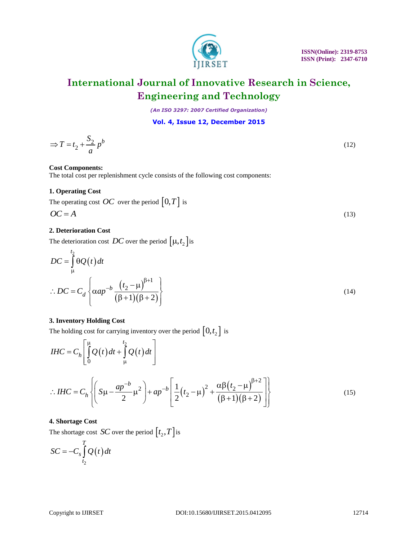

*(An ISO 3297: 2007 Certified Organization)*

**Vol. 4, Issue 12, December 2015**

$$
\Rightarrow T = t_2 + \frac{S_2}{a} p^b \tag{12}
$$

### **Cost Components:**

The total cost per replenishment cycle consists of the following cost components:

### **1. Operating Cost**

The operating cost *OC* over the period  $\lfloor 0, T \rfloor$  is

$$
OC = A \tag{13}
$$

### **2. Deterioration Cost**

The deterioration cost *DC* over the period  $\left[\mu, t_2\right]$  is

$$
DC = \int_{\mu}^{t_2} \theta Q(t) dt
$$
  
.: 
$$
DC = C_d \left\{ \alpha a p^{-b} \frac{\left(t_2 - \mu\right)^{\beta+1}}{\left(\beta + 1\right)\left(\beta + 2\right)} \right\}
$$
(14)

### **3. Inventory Holding Cost**

$$
\Rightarrow T = t_2 + \frac{t_2}{a} p^b
$$
\n(12)  
\nCost Components:  
\nThe total cost per replacement cycle consists of the following cost components:  
\n1. Operating Cost *OC* over the period  $[0, T]$  is  
\n $OC = A$   
\n2. Determination Cost  
\nThe determination cost *DC* over the period  $[\mu, t_2]$  is  
\n
$$
DC = \int_{\mu}^{t_2} \Theta(t) dt
$$
\n
$$
\therefore DC = C_d \left\{ \alpha ap^{-b} \frac{(t_2 - \mu)^{\beta+1}}{(\beta+1)(\beta+2)} \right\}
$$
\n(14)  
\n3. Inventory Holding Cost  
\nThe holding cost for carrying inventory over the period  $[0, t_2]$  is  
\n
$$
IHC = C_h \left[ \int_{0}^{\mu} Q(t) dt + \int_{\mu}^{t_2} Q(t) dt \right]
$$
\n
$$
\therefore IHC = C_h \left\{ \left( S\mu - \frac{ap^{-b}}{2} \mu^2 \right) + ap^{-b} \left[ \frac{1}{2} (t_2 - \mu)^2 + \frac{\alpha \beta (t_2 - \mu)^{\beta+2}}{(\beta+1)(\beta+2)} \right] \right\}
$$
\n(15)  
\n4. Shortage Cost *SC* over the period  $[t_2, T]$  is  
\n
$$
SC = -C_s \int_{t_2}^{T} Q(t) dt
$$
\nCopysright to UIRSET  
\n
$$
DOL10.15680JIIRSET
$$
\n2015.0412095  
\n12714

### **4. Shortage Cost**

The shortage cost *SC* over the period  $[t_2, T]$  is

$$
SC = -C_s \int_{t_2}^{T} Q(t) dt
$$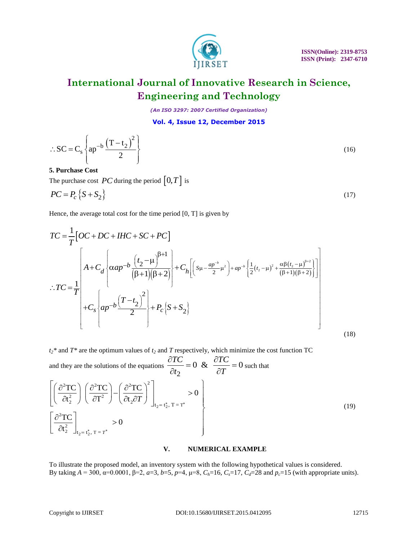

*(An ISO 3297: 2007 Certified Organization)*

**Vol. 4, Issue 12, December 2015**

$$
\therefore SC = C_s \left\{ ap^{-b} \frac{\left(T - t_2\right)^2}{2} \right\}
$$
\n(16)

### **5. Purchase Cost**

The purchase cost  $PC$  during the period  $[0, T]$  is

$$
PC = P_c \{ S + S_2 \}
$$
 (17)

$$
\therefore SC = C_s \left\{ ap^{-b} \frac{(T-t_2)^2}{2} \right\}
$$
\n5. **Purchase Cost**  
\nThe purchase cost *PC* during the period [0, *T*] is  
\n
$$
PC = P_c \left\{ S + S_2 \right\}
$$
\n(17)  
\nHence, the average total cost for the time period [0, *T*] is given by  
\n
$$
TC = \frac{1}{T} \left[ OC + DC + HC + SC + PC \right]
$$
\n
$$
\therefore TC = \frac{1}{T} \left[ AC \left( \frac{aap^{-b} \left( \frac{t_2 - \mu}{\beta + 1} \right) + C_h \left[ \left( s_1 - \frac{ap^{-b} - \mu^2}{2} \right) + ap^{-b} \left( \frac{1}{2} (t_2 - \mu)^2 + \frac{a\beta(t_2 - \mu)^{b-2}}{\beta + 1} \right) \right] \right]
$$
\n
$$
\therefore TC = \frac{1}{T} \left[ C_s \left( ap^{-b} \frac{(T-t_2)^2}{2} \right) + P_c \left[ S + S_2 \right] \right]
$$
\n
$$
t_2^*
$$
 and  $T^*$  are the optimum values of  $t_2$  and *T* respectively, which minimize the cost function TC and they are the solutions of the equations  $\frac{\partial TC}{\partial t_2} = 0$  &  $\frac{\partial TC}{\partial T} = 0$  such that  
\n
$$
\left[ \left( \frac{\partial^2 TC}{\partial t_2^2} \right) \left( \frac{\partial^2 TC}{\partial t_2^2} \right) - \left( \frac{\partial^2 TC}{\partial t_2 \partial T} \right)^2 \right]_{t_2 = t_2^*, T = T^*} > 0
$$
\n
$$
V.
$$
\n**NUMERICAL EXAMPLE**  
\nTo illustrate the proposed model, an inventory system with the following hypothetical values is considered.  
\n
$$
D_1
$$
 Using  $A = 300$ ,  $a = 0.0001$ ,  $\beta = 2$ ,  $a = 3$ ,  $b = 5$ ,  $p = 4$ ,  $\mu = 8$ ,  $C_n = 16$ ,  $C_n = 17$ ,  $C_n = 28$  and  $p_n = 15$  (with appropriate units).

 $t_2$ <sup>\*</sup> and  $T$ <sup>\*</sup> are the optimum values of  $t_2$  and  $T$  respectively, which minimize the cost function TC and they are the solutions of the equations 2  $\frac{TC}{2C} = 0$  &  $\frac{\partial TC}{\partial T} = 0$  $\frac{1}{t_2}$  = 0 &  $\frac{1}{\partial T}$  $\frac{\partial TC}{\partial x} = 0$  &  $\frac{\partial TC}{\partial x} = 0$  $\frac{\partial}{\partial t_2} = 0 \& \frac{\partial}{\partial T} = 0$  such that  $2 = t_2^*$  $2 = t_2^*$ <sup>2</sup>TC  $(\partial^2TC) (\partial^2TC)^2$  $\left(\frac{1}{2^{2}}\right)\left(\frac{\partial^{2}P}{\partial T^{2}}\right)-\left(\frac{\partial^{2}P}{\partial t_{2}}\right)$ 2 2 2  $t_2 = t_2^*$ , T =  $t_2 = t_2^*$ , T =  $\frac{\partial t_2}{\partial t_1}$  =  $\left(\frac{\partial^2 \text{TC}}{\partial t_2}\right) - \left(\frac{\partial^2 \text{TC}}{\partial t_1}\right)^2$  > 0  $\frac{\text{TC}}{\text{t}_{2}^{2}}\left(\frac{\partial^{2} \text{TC}}{\partial T^{2}}\right) - \left(\frac{\partial^{2} \text{TC}}{\partial t_{2} \partial T}\right)^{2}\right]_{t_{2} = t_{2}^{*}, T = T^{*}} > 0$  $\left| \frac{TC}{2} \right|$  > 0 t > U<br>\*, T =  $T^*$  $_{2, T=T^*}$  > (  $\overline{\mathbf{c}}$ T T = = and they are the solutions of the equations  $\frac{\partial t_2}{\partial t_2} = 0$  &  $-\frac{1}{6}$ <br>  $\left[ \left( \frac{\partial^2 \text{TC}}{\partial t_2^2} \right) \left( \frac{\partial^2 \text{TC}}{\partial T^2} \right) - \left( \frac{\partial^2 \text{TC}}{\partial t_2 \partial T} \right)^2 \right]_{t_2 = t_2^*, T = T^*} > 0$  $\begin{bmatrix} \begin{bmatrix} \frac{\partial^2}{\partial t_2^2} \end{bmatrix} \begin{bmatrix} \frac{\partial^2}{\partial t_2^2} \end{bmatrix} & \begin{bmatrix} \frac{\partial^2}{\partial t_2} \end{bmatrix} \ \begin{bmatrix} \frac{\partial^2}{\partial t_2} \end{bmatrix} & > 0 \end{bmatrix}$  $\left[\frac{\partial^2 TC}{\partial t_2^2}\right]_{t_1-t^*T-T^*}>0$  $\left[\frac{\partial^2 \text{TC}}{\partial t_2^2}\right]_{t_2 = t_2^*, \text{T} = T^*} > 0$ *T* (19)

#### **V. NUMERICAL EXAMPLE**

To illustrate the proposed model, an inventory system with the following hypothetical values is considered. By taking  $A = 300$ ,  $α=0.0001$ ,  $β=2$ ,  $a=3$ ,  $b=5$ ,  $p=4$ ,  $μ=8$ ,  $C<sub>h</sub>=16$ ,  $C<sub>s</sub>=17$ ,  $C<sub>d</sub>=28$  and  $p<sub>c</sub>=15$  (with appropriate units).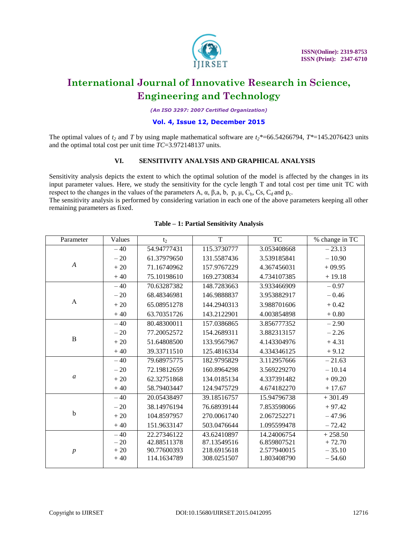

*(An ISO 3297: 2007 Certified Organization)*

### **Vol. 4, Issue 12, December 2015**

The optimal values of *t<sup>2</sup>* and *T* by using maple mathematical software are *t2\**=66.54266794, *T\**=145.2076423 units and the optimal total cost per unit time *TC*=3.972148137 units.

### **VI. SENSITIVITY ANALYSIS AND GRAPHICAL ANALYSIS**

Sensitivity analysis depicts the extent to which the optimal solution of the model is affected by the changes in its input parameter values. Here, we study the sensitivity for the cycle length T and total cost per time unit TC with respect to the changes in the values of the parameters A,  $\alpha$ ,  $\beta$ , a, b, p,  $\mu$ ,  $C_h$ ,  $C_s$ ,  $C_d$  and  $p_c$ .

The sensitivity analysis is performed by considering variation in each one of the above parameters keeping all other remaining parameters as fixed.

| Parameter        | Values | t <sub>2</sub> | T           | <b>TC</b>   | % change in TC |
|------------------|--------|----------------|-------------|-------------|----------------|
| $\boldsymbol{A}$ | $-40$  | 54.94777431    | 115.3730777 | 3.053408668 | $-23.13$       |
|                  | $-20$  | 61.37979650    | 131.5587436 | 3.539185841 | $-10.90$       |
|                  | $+20$  | 71.16740962    | 157.9767229 | 4.367456031 | $+09.95$       |
|                  | $+40$  | 75.10198610    | 169.2730834 | 4.734107385 | $+19.18$       |
| A                | $-40$  | 70.63287382    | 148.7283663 | 3.933466909 | $-0.97$        |
|                  | $-20$  | 68.48346981    | 146.9888837 | 3.953882917 | $-0.46$        |
|                  | $+20$  | 65.08951278    | 144.2940313 | 3.988701606 | $+0.42$        |
|                  | $+40$  | 63.70351726    | 143.2122901 | 4.003854898 | $+0.80$        |
| $\, {\bf B}$     | $-40$  | 80.48300011    | 157.0386865 | 3.856777352 | $-2.90$        |
|                  | $-20$  | 77.20052572    | 154.2689311 | 3.882313157 | $-2.26$        |
|                  | $+20$  | 51.64808500    | 133.9567967 | 4.143304976 | $+4.31$        |
|                  | $+40$  | 39.33711510    | 125.4816334 | 4.334346125 | $+9.12$        |
| $\mathfrak{a}$   | $-40$  | 79.68975775    | 182.9795829 | 3.112957666 | $-21.63$       |
|                  | $-20$  | 72.19812659    | 160.8964298 | 3.569229270 | $-10.14$       |
|                  | $+20$  | 62.32751868    | 134.0185134 | 4.337391482 | $+09.20$       |
|                  | $+40$  | 58.79403447    | 124.9475729 | 4.674182270 | $+17.67$       |
| $\mathbf b$      | $-40$  | 20.05438497    | 39.18516757 | 15.94796738 | $+301.49$      |
|                  | $-20$  | 38.14976194    | 76.68939144 | 7.853598066 | $+97.42$       |
|                  | $+20$  | 104.8597957    | 270.0061740 | 2.067252271 | $-47.96$       |
|                  | $+40$  | 151.9633147    | 503.0476644 | 1.095599478 | $-72.42$       |
| $\boldsymbol{p}$ | $-40$  | 22.27346122    | 43.62410897 | 14.24006754 | $+258.50$      |
|                  | $-20$  | 42.88511378    | 87.13549516 | 6.859807521 | $+72.70$       |
|                  | $+20$  | 90.77600393    | 218.6915618 | 2.577940015 | $-35.10$       |
|                  | $+40$  | 114.1634789    | 308.0251507 | 1.803408790 | $-54.60$       |
|                  |        |                |             |             |                |

### **Table – 1: Partial Sensitivity Analysis**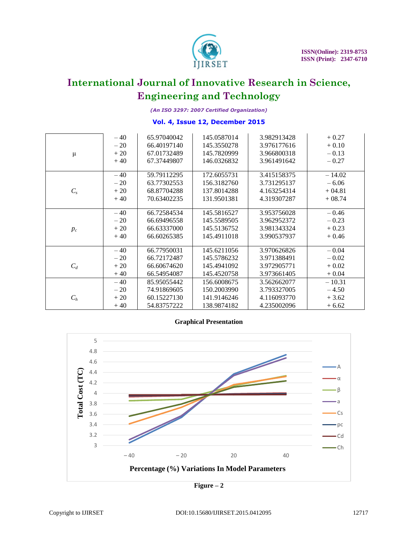

*(An ISO 3297: 2007 Certified Organization)*

### **Vol. 4, Issue 12, December 2015**

|         | $-40$ | 65.97040042 | 145.0587014 | 3.982913428 | $+0.27$  |
|---------|-------|-------------|-------------|-------------|----------|
|         | $-20$ | 66.40197140 | 145.3550278 | 3.976177616 | $+0.10$  |
| $\mu$   | $+20$ | 67.01732489 | 145.7820999 | 3.966800318 | $-0.13$  |
|         | $+40$ | 67.37449807 | 146.0326832 | 3.961491642 | $-0.27$  |
|         |       |             |             |             |          |
|         | $-40$ | 59.79112295 | 172.6055731 | 3.415158375 | $-14.02$ |
|         | $-20$ | 63.77302553 | 156.3182760 | 3.731295137 | $-6.06$  |
| $C_{s}$ | $+20$ | 68.87704288 | 137.8014288 | 4.163254314 | $+04.81$ |
|         | $+40$ | 70.63402235 | 131.9501381 | 4.319307287 | $+08.74$ |
|         |       |             |             |             |          |
|         | $-40$ | 66.72584534 | 145.5816527 | 3.953756028 | $-0.46$  |
|         | $-20$ | 66.69496558 | 145.5589505 | 3.962952372 | $-0.23$  |
| $p_c$   | $+20$ | 66.63337000 | 145.5136752 | 3.981343324 | $+0.23$  |
|         | $+40$ | 66.60265385 | 145.4911018 | 3.990537937 | $+0.46$  |
|         |       |             |             |             |          |
|         | $-40$ | 66.77950031 | 145.6211056 | 3.970626826 | $-0.04$  |
|         | $-20$ | 66.72172487 | 145.5786232 | 3.971388491 | $-0.02$  |
| $C_d$   | $+20$ | 66.60674620 | 145.4941092 | 3.972905771 | $+0.02$  |
|         | $+40$ | 66.54954087 | 145.4520758 | 3.973661405 | $+0.04$  |
|         | $-40$ | 85.95055442 | 156.6008675 | 3.562662077 | $-10.31$ |
|         | $-20$ | 74.91869605 | 150.2003990 | 3.793327005 | $-4.50$  |
| $C_h$   | $+20$ | 60.15227130 | 141.9146246 | 4.116093770 | $+3.62$  |
|         | $+40$ | 54.83757222 | 138.9874182 | 4.235002096 | $+6.62$  |





**Figure – 2**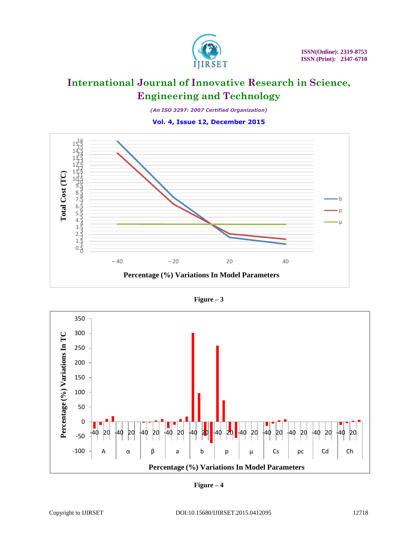

*(An ISO 3297: 2007 Certified Organization)*

**Vol. 4, Issue 12, December 2015**



**Figure – 3**



**Figure – 4**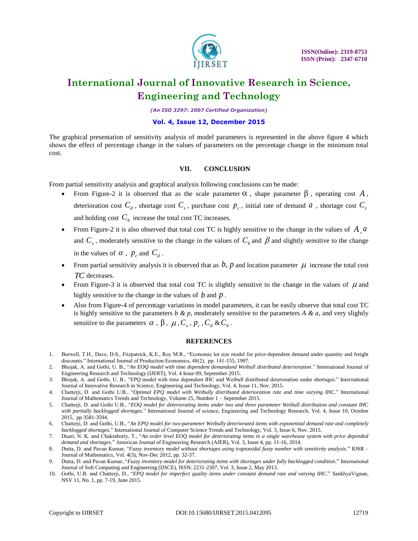

*(An ISO 3297: 2007 Certified Organization)*

#### **Vol. 4, Issue 12, December 2015**

The graphical presentation of sensitivity analysis of model parameters is represented in the above figure 4 which shows the effect of percentage change in the values of parameters on the percentage change in the minimum total cost.

### **VII. CONCLUSION**

From partial sensitivity analysis and graphical analysis following conclusions can be made:

- From Figure-2 it is observed that as the scale parameter  $\alpha$ , shape parameter  $\beta$ , operating cost A, deterioration cost  $C_d$ , shortage cost  $C_s$ , purchase cost  $p_c$ , initial rate of demand  $a$ , shortage cost  $C_s$ and holding cost  $C_h$  increase the total cost TC increases.
- From Figure-2 it is also observed that total cost TC is highly sensitive to the change in the values of *A*,*a* and  $C_s$ , moderately sensitive to the change in the values of  $C_h$  and  $\beta$  and slightly sensitive to the change in the values of  $\alpha$ ,  $p_c$  and  $C_d$ .
- From partial sensitivity analysis it is observed that as  $b$ ,  $p$  and location parameter  $\mu$  increase the total cost *TC* decreases.
- From Figure-3 it is observed that total cost TC is slightly sensitive to the change in the values of  $\mu$  and highly sensitive to the change in the values of *b* and *p* .
- Also from Figure-4 of percentage variations in model parameters, it can be easily observe that total cost TC is highly sensitive to the parameters  $b \& p$ , moderately sensitive to the parameters  $A \& a$ , and very slightly sensitive to the parameters  $\alpha$ ,  $\beta$ ,  $\mu$ ,  $C_s$ ,  $p_c$ ,  $C_d$  &  $C_h$ .

#### **REFERENCES**

- 1. Burwell, T.H., Dave, D.S., Fitzpatrick, K.E., Roy M.R., "Economic lot size model for price-dependent demand under quantity and freight discounts." International Journal of Production Economics, 48(2), pp. 141-155, 1997.
- 2. Bhojak, A. and Gothi, U. B., "*An EOQ model with time dependent demandand Weibull distributed deterioration*." International Journal of Engineering Research and Technology (IJERT), Vol. 4 Issue 09, September 2015.
- 3. Bhojak, A. and Gothi, U. B., "EPQ model with time dependent IHC and Weibull distributed deterioration under shortages." International Journal of Innovative Research in Science, Engineering and Technology, Vol. 4, Issue 11, Nov. 2015.
- 4. Chatterji, D. and Gothi U.B., "*Optimal EPQ model with Weibully distributed deterioration rate and time varying IHC.*" International Journal of Mathematics Trends and Technology, Volume 25, Number 1 – September 2015.
- 5. Chatterji, D. and Gothi U.B., "*EOQ model for deteriorating items under two and three parameter Weibull distribution and constant IHC with partially backlogged shortages.*" International Journal of science, Engineering and Technology Research, Vol. 4, Issue 10, October 2015, pp 3581-3594.
- 6. Chatterji, D. and Gothi, U.B., "*An EPQ model for two-parameter Weibully deteriorated items with exponential demand rate and completely backlogged shortages.*" International Journal of Computer Science Trends and Technology, Vol. 3, Issue 6, Nov. 2015.
- 7. Duari, N. K. and Chakraborty, T., "*An order level EOQ model for deteriorating items in a single warehouse system with price depended demand and shortages.*" American Journal of Engineering Research (AJER), Vol. 3, Issue 4, pp. 11-16, 2014.
- 8. Dutta, D. and Pavan Kumar, "*Fuzzy inventory model without shortages using trapezoidal fuzzy number with sensitivity analysis.*" IOSR Journal of Mathematics, Vol. 4(3), Nov-Dec 2012, pp. 32-37.
- 9. Dutta, D. and Pavan Kumar, "*Fuzzy inventory model for deteriorating items with shortages under fully backlogged condition.*" International Journal of Soft Computing and Engineering (IJSCE), ISSN: 2231-2307, Vol. 3, Issue 2, May 2013.
- 10. Gothi, U.B. and Chatterji, D., "*EPQ model for imperfect quality items under constant demand rate and varying IHC.*" SankhyaVignan, NSV 11, No. 1, pp. 7-19, June 2015.